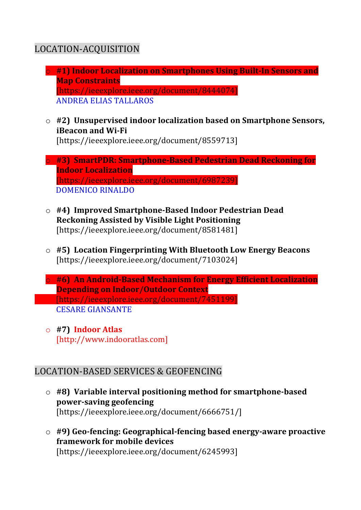# LOCATION-ACQUISITION

- o **#1) Indoor Localization on Smartphones Using Built-In Sensors and Map Constraints** [https://ieeexplore.ieee.org/document/8444074] ANDREA ELIAS TALLAROS
- $\circ$  #2) Unsupervised indoor localization based on Smartphone Sensors, **iBeacon and Wi-Fi** [https://ieeexplore.ieee.org/document/8559713]
- o **#3) SmartPDR: Smartphone-Based Pedestrian Dead Reckoning for Indoor Localization** [https://ieeexplore.ieee.org/document/6987239] DOMENICO RINALDO
- o **#4) Improved Smartphone-Based Indoor Pedestrian Dead Reckoning Assisted by Visible Light Positioning** [https://ieeexplore.ieee.org/document/8581481]
- o **#5) Location Fingerprinting With Bluetooth Low Energy Beacons** [https://ieeexplore.ieee.org/document/7103024]
- o **#6) An Android-Based Mechanism for Energy Efficient Localization Depending on Indoor/Outdoor Context** [https://ieeexplore.ieee.org/document/7451199] CESARE GIANSANTE
- o **#7) Indoor Atlas** [http://www.indooratlas.com]

## LOCATION-BASED SERVICES & GEOFENCING

- $\circ$  #8) Variable interval positioning method for smartphone-based **power-saving geofencing** [https://ieeexplore.ieee.org/document/6666751/]
- o **#9) Geo-fencing: Geographical-fencing based energy-aware proactive framework for mobile devices** [https://ieeexplore.ieee.org/document/6245993]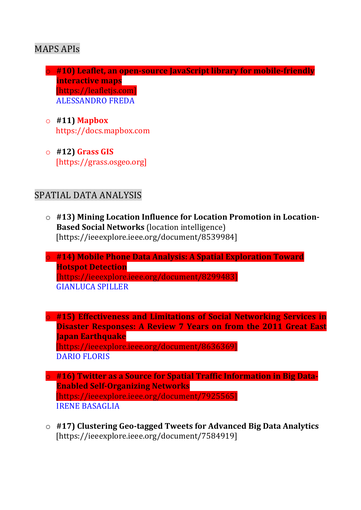### MAPS APIs

- o #10) Leaflet, an open-source lavaScript library for mobile-friendly **interactive maps** [https://leafletis.com] ALESSANDRO FREDA
- o **#11) Mapbox**  https://docs.mapbox.com
- o **#12) Grass GIS** [https://grass.osgeo.org]

## SPATIAL DATA ANALYSIS

- $\circ$  #13) Mining Location Influence for Location Promotion in Location-**Based Social Networks** (location intelligence) [https://ieeexplore.ieee.org/document/8539984]
- o **#14) Mobile Phone Data Analysis: A Spatial Exploration Toward Hotspot Detection** [https://ieeexplore.ieee.org/document/8299483] GIANLUCA SPILLER

**o** #15) Effectiveness and Limitations of Social Networking Services in **Disaster Responses: A Review 7 Years on from the 2011 Great East Japan Earthquake** [https://ieeexplore.ieee.org/document/8636369] DARIO FLORIS

- **o #16) Twitter as a Source for Spatial Traffic Information in Big Data-Enabled Self-Organizing Networks** [https://ieeexplore.ieee.org/document/7925565] IRENE BASAGLIA
- o **#17) Clustering Geo-tagged Tweets for Advanced Big Data Analytics** [https://ieeexplore.ieee.org/document/7584919]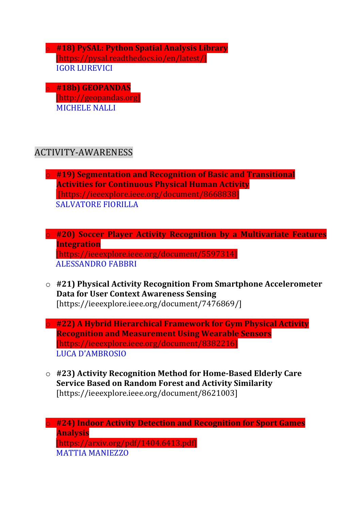**#18) PySAL: Python Spatial Analysis Library** [https://pysal.readthedocs.io/en/latest/] **IGOR LUREVICI** 

o **#18b) GEOPANDAS** [http://geopandas.org] **MICHELE NALLI** 

### ACTIVITY-AWARENESS

o **#19) Segmentation and Recognition of Basic and Transitional Activities for Continuous Physical Human Activity** [https://ieeexplore.ieee.org/document/8668838] SALVATORE FIORILLA

o **#20) Soccer Player Activity Recognition by a Multivariate Features Integration**

[https://ieeexplore.ieee.org/document/5597314] **ALESSANDRO FABBRI** 

- o **#21) Physical Activity Recognition From Smartphone Accelerometer Data for User Context Awareness Sensing** [https://ieeexplore.ieee.org/document/7476869/]
- **o** #22) A Hybrid Hierarchical Framework for Gym Physical Activity **Recognition and Measurement Using Wearable Sensors** [https://ieeexplore.ieee.org/document/8382216] LUCA D'AMBROSIO
- o **#23) Activity Recognition Method for Home-Based Elderly Care Service Based on Random Forest and Activity Similarity** [https://ieeexplore.ieee.org/document/8621003]

o **#24) Indoor Activity Detection and Recognition for Sport Games Analysis** [https://arxiv.org/pdf/1404.6413.pdf] MATTIA MANIEZZO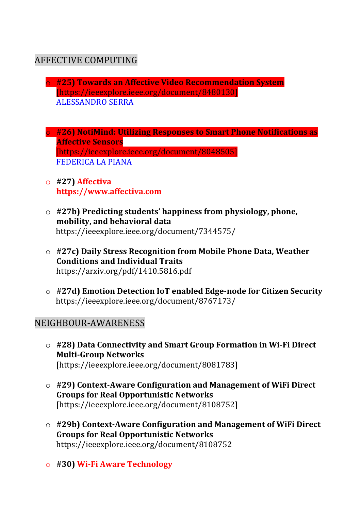## AFFECTIVE COMPUTING

- o **#25) Towards an Affective Video Recommendation System** [https://ieeexplore.ieee.org/document/8480130] ALESSANDRO SERRA
- **o** #26) NotiMind: Utilizing Responses to Smart Phone Notifications as **Affective Sensors** [https://ieeexplore.ieee.org/document/8048505] FEDERICA LA PIANA
- o **#27) Affectiva https://www.affectiva.com**
- $\circ$  #27b) Predicting students' happiness from physiology, phone, **mobility, and behavioral data** https://ieeexplore.ieee.org/document/7344575/
- o **#27c) Daily Stress Recognition from Mobile Phone Data, Weather Conditions and Individual Traits** https://arxiv.org/pdf/1410.5816.pdf
- o **#27d) Emotion Detection IoT enabled Edge-node for Citizen Security** https://ieeexplore.ieee.org/document/8767173/

### NEIGHBOUR-AWARENESS

- o **#28) Data Connectivity and Smart Group Formation in Wi-Fi Direct Multi-Group Networks** [https://ieeexplore.ieee.org/document/8081783]
- o **#29) Context-Aware Configuration and Management of WiFi Direct Groups for Real Opportunistic Networks** [https://ieeexplore.ieee.org/document/8108752]
- o **#29b) Context-Aware Configuration and Management of WiFi Direct Groups for Real Opportunistic Networks** https://ieeexplore.ieee.org/document/8108752
- o **#30) Wi-Fi Aware Technology**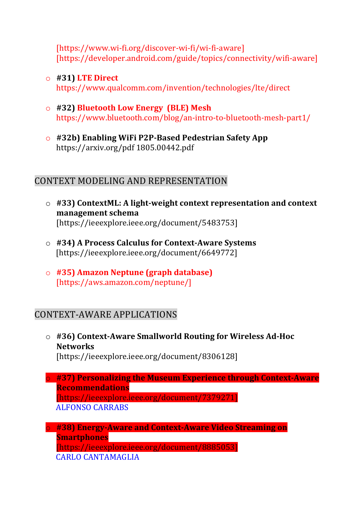[https://www.wi-fi.org/discover-wi-fi/wi-fi-aware] [https://developer.android.com/guide/topics/connectivity/wifi-aware]

o **#31) LTE Direct**

https://www.qualcomm.com/invention/technologies/lte/direct

- o **#32) Bluetooth Low Energy (BLE) Mesh** https://www.bluetooth.com/blog/an-intro-to-bluetooth-mesh-part1/
- o **#32b) Enabling WiFi P2P-Based Pedestrian Safety App** https://arxiv.org/pdf 1805.00442.pdf

### CONTEXT MODELING AND REPRESENTATION

- $\circ$  #33) ContextML: A light-weight context representation and context **management schema** [https://ieeexplore.ieee.org/document/5483753]
- o **#34) A Process Calculus for Context-Aware Systems** [https://ieeexplore.ieee.org/document/6649772]
- o **#35) Amazon Neptune (graph database)** [https://aws.amazon.com/neptune/]

## CONTEXT-AWARE APPLICATIONS

- o **#36) Context-Aware Smallworld Routing for Wireless Ad-Hoc Networks** [https://ieeexplore.ieee.org/document/8306128]
- o **#37) Personalizing the Museum Experience through Context-Aware Recommendations** [https://ieeexplore.ieee.org/document/7379271] ALFONSO CARRABS

o **#38) Energy-Aware and Context-Aware Video Streaming on Smartphones** [https://ieeexplore.ieee.org/document/8885053] CARLO CANTAMAGLIA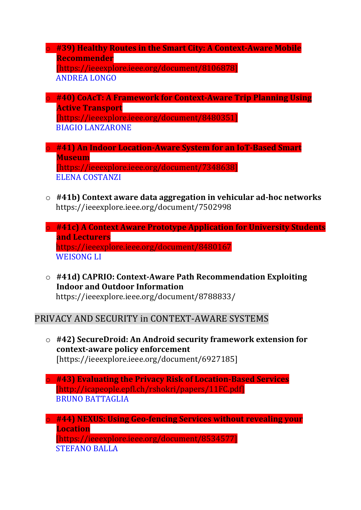- **o #39) Healthy Routes in the Smart City: A Context-Aware Mobile Recommender** [https://ieeexplore.ieee.org/document/8106878] **ANDREA LONGO**
- o **#40) CoAcT: A Framework for Context-Aware Trip Planning Using Active Transport** [https://ieeexplore.ieee.org/document/8480351] BIAGIO LANZARONE
- **o** #41) An Indoor Location-Aware System for an IoT-Based Smart **Museum** [https://ieeexplore.ieee.org/document/7348638] ELENA COSTANZI
- o **#41b) Context aware data aggregation in vehicular ad-hoc networks** https://ieeexplore.ieee.org/document/7502998
- o **#41c) A Context Aware Prototype Application for University Students and Lecturers** https://ieeexplore.ieee.org/document/8480167 WEISONG LI
- $\circ$  #41d) CAPRIO: Context-Aware Path Recommendation Exploiting **Indoor and Outdoor Information** https://ieeexplore.ieee.org/document/8788833/

### PRIVACY AND SECURITY in CONTEXT-AWARE SYSTEMS

- o **#42) SecureDroid: An Android security framework extension for**  context-aware policy enforcement [https://ieeexplore.ieee.org/document/6927185]
- o **#43) Evaluating the Privacy Risk of Location-Based Services** [http://icapeople.epfl.ch/rshokri/papers/11FC.pdf] BRUNO BATTAGLIA
- **o** #44) NEXUS: Using Geo-fencing Services without revealing your **Location**

[https://ieeexplore.ieee.org/document/8534577] STEFANO BALLA